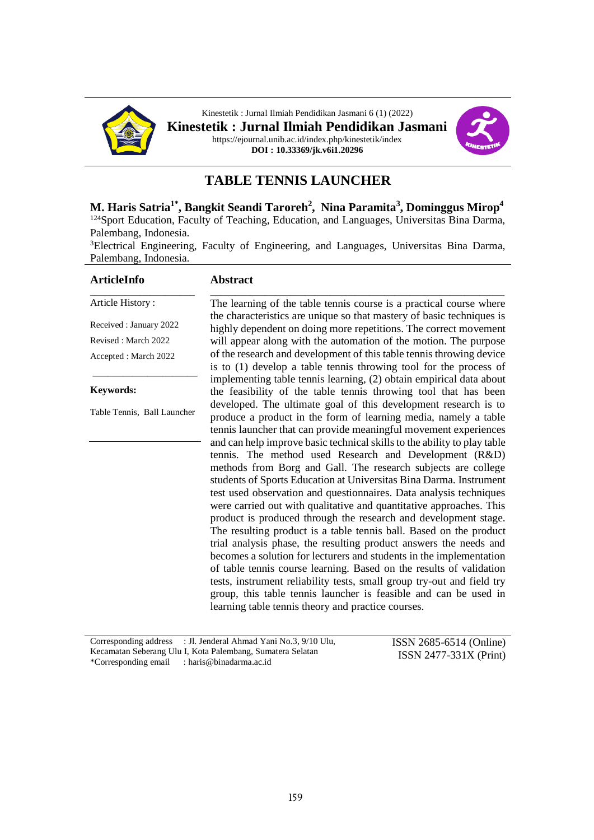

**ArticleInfo**



# **TABLE TENNIS LAUNCHER**

**M. Haris Satria1\* , Bangkit Seandi Taroreh<sup>2</sup> , Nina Paramita<sup>3</sup> , Dominggus Mirop<sup>4</sup>** <sup>124</sup>Sport Education, Faculty of Teaching, Education, and Languages, Universitas Bina Darma, Palembang, Indonesia.

<sup>3</sup>Electrical Engineering, Faculty of Engineering, and Languages, Universitas Bina Darma, Palembang, Indonesia.

| <b>ArticleInfo</b>          | <b>Abstract</b>                                                                                                                                                                                                                                                                                                                                                                                                                                                                                                                                                                                                                                                                                           |
|-----------------------------|-----------------------------------------------------------------------------------------------------------------------------------------------------------------------------------------------------------------------------------------------------------------------------------------------------------------------------------------------------------------------------------------------------------------------------------------------------------------------------------------------------------------------------------------------------------------------------------------------------------------------------------------------------------------------------------------------------------|
| Article History:            | The learning of the table tennis course is a practical course where                                                                                                                                                                                                                                                                                                                                                                                                                                                                                                                                                                                                                                       |
| Received: January 2022      | the characteristics are unique so that mastery of basic techniques is<br>highly dependent on doing more repetitions. The correct movement                                                                                                                                                                                                                                                                                                                                                                                                                                                                                                                                                                 |
| Revised: March 2022         | will appear along with the automation of the motion. The purpose                                                                                                                                                                                                                                                                                                                                                                                                                                                                                                                                                                                                                                          |
| Accepted: March 2022        | of the research and development of this table tennis throwing device<br>is to (1) develop a table tennis throwing tool for the process of                                                                                                                                                                                                                                                                                                                                                                                                                                                                                                                                                                 |
| <b>Keywords:</b>            | implementing table tennis learning, (2) obtain empirical data about<br>the feasibility of the table tennis throwing tool that has been                                                                                                                                                                                                                                                                                                                                                                                                                                                                                                                                                                    |
| Table Tennis, Ball Launcher | developed. The ultimate goal of this development research is to<br>produce a product in the form of learning media, namely a table<br>tennis launcher that can provide meaningful movement experiences<br>and can help improve basic technical skills to the ability to play table<br>tennis. The method used Research and Development (R&D)<br>methods from Borg and Gall. The research subjects are college<br>students of Sports Education at Universitas Bina Darma. Instrument                                                                                                                                                                                                                       |
|                             | test used observation and questionnaires. Data analysis techniques<br>were carried out with qualitative and quantitative approaches. This<br>product is produced through the research and development stage.<br>The resulting product is a table tennis ball. Based on the product<br>trial analysis phase, the resulting product answers the needs and<br>becomes a solution for lecturers and students in the implementation<br>of table tennis course learning. Based on the results of validation<br>tests, instrument reliability tests, small group try-out and field try<br>group, this table tennis launcher is feasible and can be used in<br>learning table tennis theory and practice courses. |

Corresponding address : Jl. Jenderal Ahmad Yani No.3, 9/10 Ulu, Kecamatan Seberang Ulu I, Kota Palembang, Sumatera Selatan \*Corresponding email : haris@binadarma.ac.id

ISSN 2685-6514 (Online) ISSN 2477-331X (Print)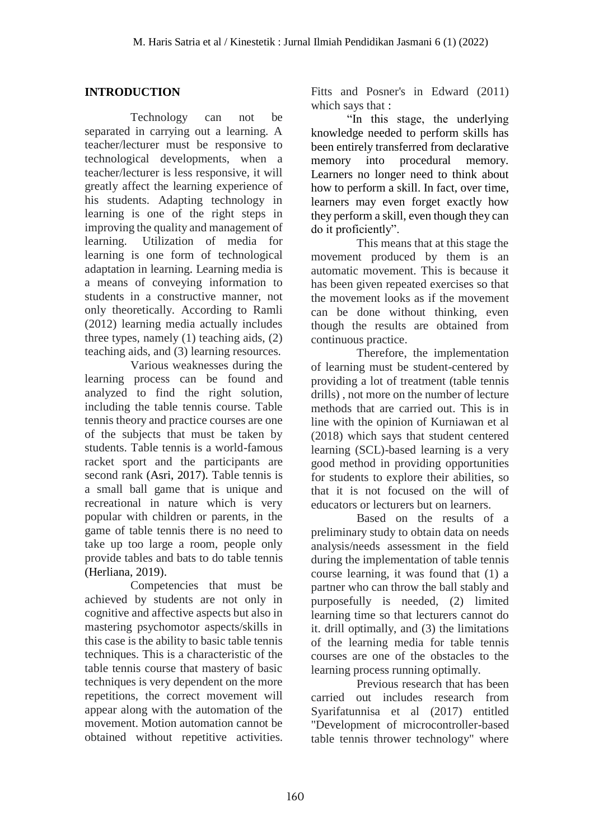#### **INTRODUCTION**

Technology can not be separated in carrying out a learning. A teacher/lecturer must be responsive to technological developments, when a teacher/lecturer is less responsive, it will greatly affect the learning experience of his students. Adapting technology in learning is one of the right steps in improving the quality and management of learning. Utilization of media for learning is one form of technological adaptation in learning. Learning media is a means of conveying information to students in a constructive manner, not only theoretically. According to Ramli (2012) learning media actually includes three types, namely (1) teaching aids, (2) teaching aids, and (3) learning resources.

Various weaknesses during the learning process can be found and analyzed to find the right solution, including the table tennis course. Table tennis theory and practice courses are one of the subjects that must be taken by students. Table tennis is a world-famous racket sport and the participants are second rank (Asri, 2017). Table tennis is a small ball game that is unique and recreational in nature which is very popular with children or parents, in the game of table tennis there is no need to take up too large a room, people only provide tables and bats to do table tennis (Herliana, 2019).

Competencies that must be achieved by students are not only in cognitive and affective aspects but also in mastering psychomotor aspects/skills in this case is the ability to basic table tennis techniques. This is a characteristic of the table tennis course that mastery of basic techniques is very dependent on the more repetitions, the correct movement will appear along with the automation of the movement. Motion automation cannot be obtained without repetitive activities. Fitts and Posner's in Edward (2011) which says that :

"In this stage, the underlying knowledge needed to perform skills has been entirely transferred from declarative memory into procedural memory. Learners no longer need to think about how to perform a skill. In fact, over time, learners may even forget exactly how they perform a skill, even though they can do it proficiently".

This means that at this stage the movement produced by them is an automatic movement. This is because it has been given repeated exercises so that the movement looks as if the movement can be done without thinking, even though the results are obtained from continuous practice.

Therefore, the implementation of learning must be student-centered by providing a lot of treatment (table tennis drills) , not more on the number of lecture methods that are carried out. This is in line with the opinion of Kurniawan et al (2018) which says that student centered learning (SCL)-based learning is a very good method in providing opportunities for students to explore their abilities, so that it is not focused on the will of educators or lecturers but on learners.

Based on the results of a preliminary study to obtain data on needs analysis/needs assessment in the field during the implementation of table tennis course learning, it was found that (1) a partner who can throw the ball stably and purposefully is needed, (2) limited learning time so that lecturers cannot do it. drill optimally, and (3) the limitations of the learning media for table tennis courses are one of the obstacles to the learning process running optimally.

Previous research that has been carried out includes research from Syarifatunnisa et al (2017) entitled "Development of microcontroller-based table tennis thrower technology" where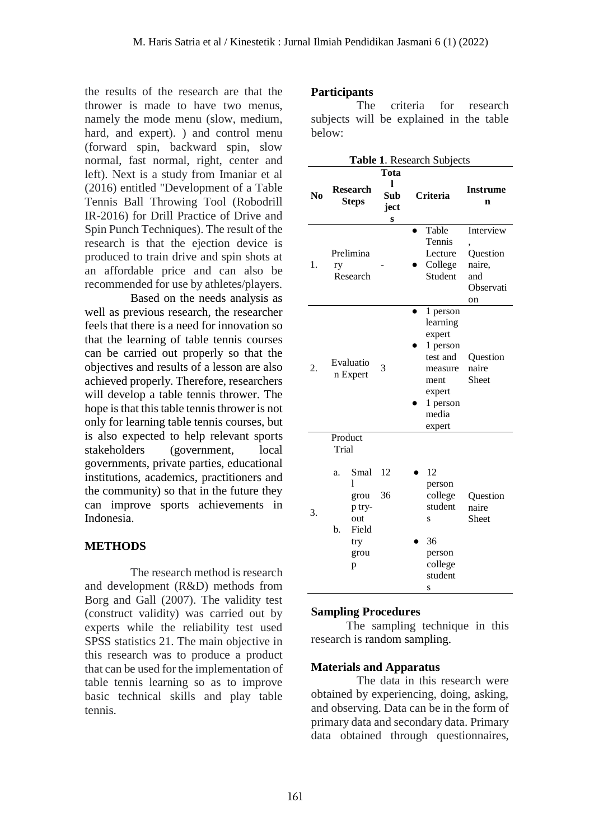the results of the research are that the thrower is made to have two menus, namely the mode menu (slow, medium, hard, and expert). ) and control menu (forward spin, backward spin, slow normal, fast normal, right, center and left). Next is a study from Imaniar et al (2016) entitled "Development of a Table Tennis Ball Throwing Tool (Robodrill IR-2016) for Drill Practice of Drive and Spin Punch Techniques). The result of the research is that the ejection device is produced to train drive and spin shots at an affordable price and can also be recommended for use by athletes/players.

Based on the needs analysis as well as previous research, the researcher feels that there is a need for innovation so that the learning of table tennis courses can be carried out properly so that the objectives and results of a lesson are also achieved properly. Therefore, researchers will develop a table tennis thrower. The hope is that this table tennis thrower is not only for learning table tennis courses, but is also expected to help relevant sports stakeholders (government, local governments, private parties, educational institutions, academics, practitioners and the community) so that in the future they can improve sports achievements in Indonesia.

#### **METHODS**

The research method is research and development (R&D) methods from Borg and Gall (2007). The validity test (construct validity) was carried out by experts while the reliability test used SPSS statistics 21. The main objective in this research was to produce a product that can be used for the implementation of table tennis learning so as to improve basic technical skills and play table tennis.

#### **Participants**

The criteria for research subjects will be explained in the table below:

| Table 1. Research Subjects |                                                                                                 |                               |                                                                                                                    |                                                           |  |
|----------------------------|-------------------------------------------------------------------------------------------------|-------------------------------|--------------------------------------------------------------------------------------------------------------------|-----------------------------------------------------------|--|
| N <sub>0</sub>             | <b>Research</b><br><b>Steps</b>                                                                 | Tota<br>ı<br>Sub<br>ject<br>S | <b>Criteria</b>                                                                                                    | <b>Instrume</b><br>n                                      |  |
| 1.                         | Prelimina<br>ry<br>Research                                                                     |                               | Table<br>Tennis<br>Lecture<br>College<br>Student                                                                   | Interview<br>Question<br>naire,<br>and<br>Observati<br>on |  |
| 2.                         | Evaluatio<br>n Expert                                                                           | 3                             | 1 person<br>learning<br>expert<br>1 person<br>test and<br>measure<br>ment<br>expert<br>1 person<br>media<br>expert | Question<br>naire<br>Sheet                                |  |
| 3.                         | Product<br>Trial<br>Smal<br>a.<br>1<br>grou<br>p try-<br>out<br>Field<br>b.<br>try<br>grou<br>p | 12<br>36                      | 12<br>person<br>college<br>student<br>S<br>36<br>person<br>college<br>student<br>S                                 | Question<br>naire<br>Sheet                                |  |

#### **Sampling Procedures**

The sampling technique in this research is random sampling.

#### **Materials and Apparatus**

The data in this research were obtained by experiencing, doing, asking, and observing. Data can be in the form of primary data and secondary data. Primary data obtained through questionnaires,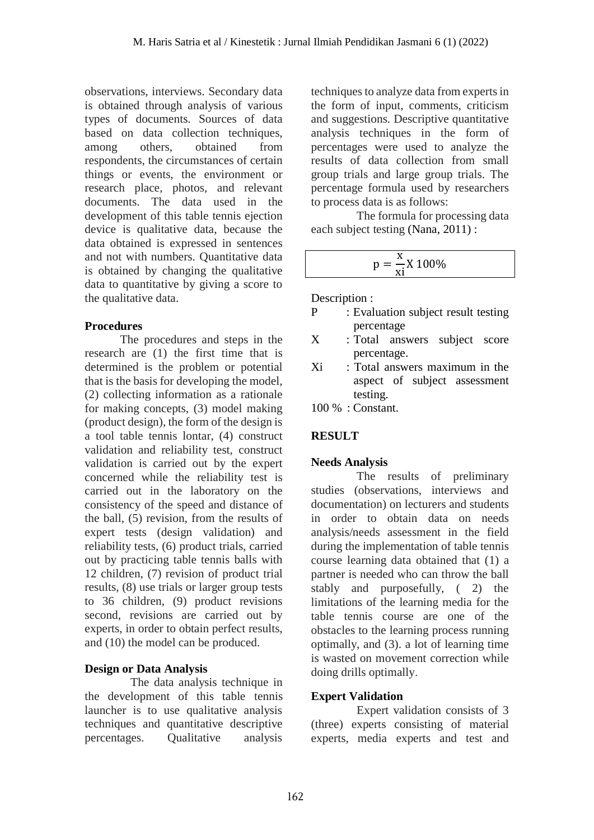observations, interviews. Secondary data is obtained through analysis of various types of documents. Sources of data based on data collection techniques, among others, obtained from respondents, the circumstances of certain things or events, the environment or research place, photos, and relevant documents. The data used in the development of this table tennis ejection device is qualitative data, because the data obtained is expressed in sentences and not with numbers. Quantitative data is obtained by changing the qualitative data to quantitative by giving a score to the qualitative data.

### **Procedures**

The procedures and steps in the research are (1) the first time that is determined is the problem or potential that is the basis for developing the model, (2) collecting information as a rationale for making concepts, (3) model making (product design), the form of the design is a tool table tennis lontar, (4) construct validation and reliability test, construct validation is carried out by the expert concerned while the reliability test is carried out in the laboratory on the consistency of the speed and distance of the ball, (5) revision, from the results of expert tests (design validation) and reliability tests, (6) product trials, carried out by practicing table tennis balls with 12 children, (7) revision of product trial results, (8) use trials or larger group tests to 36 children, (9) product revisions second, revisions are carried out by experts, in order to obtain perfect results, and (10) the model can be produced.

# **Design or Data Analysis**

The data analysis technique in the development of this table tennis launcher is to use qualitative analysis techniques and quantitative descriptive percentages. Qualitative analysis techniques to analyze data from experts in the form of input, comments, criticism and suggestions. Descriptive quantitative analysis techniques in the form of percentages were used to analyze the results of data collection from small group trials and large group trials. The percentage formula used by researchers to process data is as follows:

The formula for processing data each subject testing (Nana, 2011) :

$$
p = \frac{x}{xi} X 100\%
$$

Description :

- P : Evaluation subject result testing percentage
- X : Total answers subject score percentage.
- Xi : Total answers maximum in the aspect of subject assessment testing.

100 % : Constant.

# **RESULT**

#### **Needs Analysis**

 The results of preliminary studies (observations, interviews and documentation) on lecturers and students in order to obtain data on needs analysis/needs assessment in the field during the implementation of table tennis course learning data obtained that (1) a partner is needed who can throw the ball stably and purposefully, ( 2) the limitations of the learning media for the table tennis course are one of the obstacles to the learning process running optimally, and (3). a lot of learning time is wasted on movement correction while doing drills optimally.

# **Expert Validation**

 Expert validation consists of 3 (three) experts consisting of material experts, media experts and test and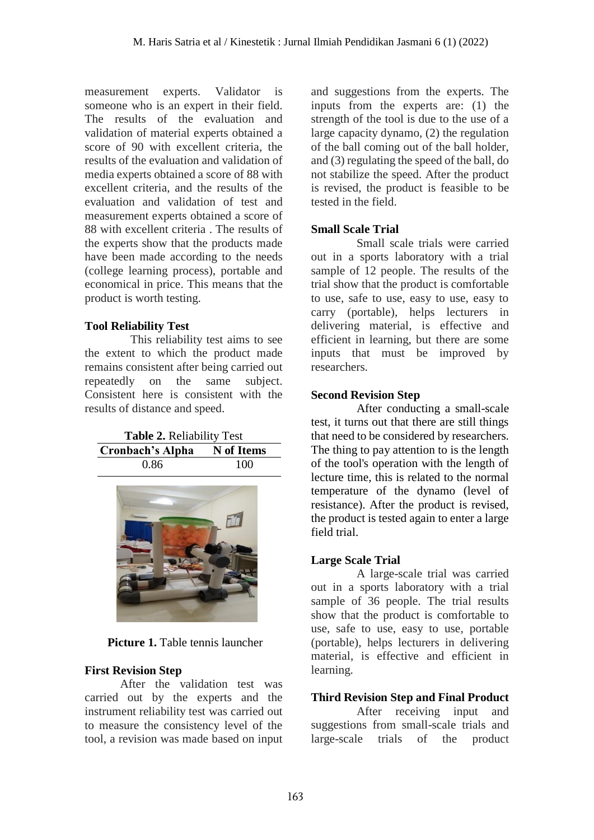measurement experts. Validator is someone who is an expert in their field. The results of the evaluation and validation of material experts obtained a score of 90 with excellent criteria, the results of the evaluation and validation of media experts obtained a score of 88 with excellent criteria, and the results of the evaluation and validation of test and measurement experts obtained a score of 88 with excellent criteria . The results of the experts show that the products made have been made according to the needs (college learning process), portable and economical in price. This means that the product is worth testing.

### **Tool Reliability Test**

This reliability test aims to see the extent to which the product made remains consistent after being carried out repeatedly on the same subject. Consistent here is consistent with the results of distance and speed.

**Table 2.** Reliability Test

| Cronbach's Alpha | N of Items |
|------------------|------------|
| 0.86             | 100        |



**Picture 1.** Table tennis launcher

#### **First Revision Step**

After the validation test was carried out by the experts and the instrument reliability test was carried out to measure the consistency level of the tool, a revision was made based on input and suggestions from the experts. The inputs from the experts are: (1) the strength of the tool is due to the use of a large capacity dynamo, (2) the regulation of the ball coming out of the ball holder, and (3) regulating the speed of the ball, do not stabilize the speed. After the product is revised, the product is feasible to be tested in the field.

### **Small Scale Trial**

Small scale trials were carried out in a sports laboratory with a trial sample of 12 people. The results of the trial show that the product is comfortable to use, safe to use, easy to use, easy to carry (portable), helps lecturers in delivering material, is effective and efficient in learning, but there are some inputs that must be improved by researchers.

### **Second Revision Step**

After conducting a small-scale test, it turns out that there are still things that need to be considered by researchers. The thing to pay attention to is the length of the tool's operation with the length of lecture time, this is related to the normal temperature of the dynamo (level of resistance). After the product is revised, the product is tested again to enter a large field trial.

# **Large Scale Trial**

A large-scale trial was carried out in a sports laboratory with a trial sample of 36 people. The trial results show that the product is comfortable to use, safe to use, easy to use, portable (portable), helps lecturers in delivering material, is effective and efficient in learning.

# **Third Revision Step and Final Product**

After receiving input and suggestions from small-scale trials and large-scale trials of the product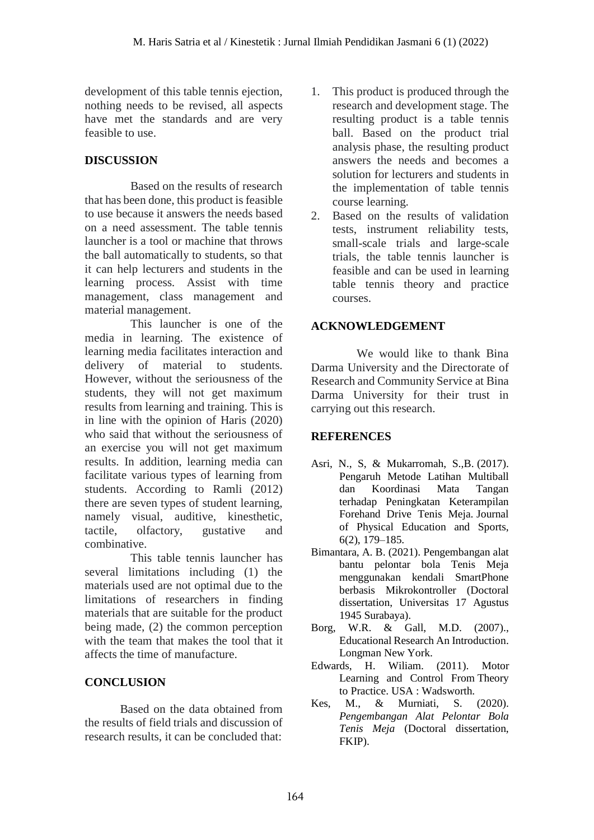development of this table tennis ejection, nothing needs to be revised, all aspects have met the standards and are very feasible to use.

### **DISCUSSION**

Based on the results of research that has been done, this product is feasible to use because it answers the needs based on a need assessment. The table tennis launcher is a tool or machine that throws the ball automatically to students, so that it can help lecturers and students in the learning process. Assist with time management, class management and material management.

This launcher is one of the media in learning. The existence of learning media facilitates interaction and delivery of material to students. However, without the seriousness of the students, they will not get maximum results from learning and training. This is in line with the opinion of Haris (2020) who said that without the seriousness of an exercise you will not get maximum results. In addition, learning media can facilitate various types of learning from students. According to Ramli (2012) there are seven types of student learning, namely visual, auditive, kinesthetic, tactile, olfactory, gustative and combinative.

This table tennis launcher has several limitations including (1) the materials used are not optimal due to the limitations of researchers in finding materials that are suitable for the product being made, (2) the common perception with the team that makes the tool that it affects the time of manufacture.

# **CONCLUSION**

Based on the data obtained from the results of field trials and discussion of research results, it can be concluded that:

- 1. This product is produced through the research and development stage. The resulting product is a table tennis ball. Based on the product trial analysis phase, the resulting product answers the needs and becomes a solution for lecturers and students in the implementation of table tennis course learning.
- 2. Based on the results of validation tests, instrument reliability tests, small-scale trials and large-scale trials, the table tennis launcher is feasible and can be used in learning table tennis theory and practice courses.

### **ACKNOWLEDGEMENT**

We would like to thank Bina Darma University and the Directorate of Research and Community Service at Bina Darma University for their trust in carrying out this research.

#### **REFERENCES**

- Asri, N., S, & Mukarromah, S.,B. (2017). Pengaruh Metode Latihan Multiball dan Koordinasi Mata Tangan terhadap Peningkatan Keterampilan Forehand Drive Tenis Meja. Journal of Physical Education and Sports, 6(2), 179–185.
- Bimantara, A. B. (2021). Pengembangan alat bantu pelontar bola Tenis Meja menggunakan kendali SmartPhone berbasis Mikrokontroller (Doctoral dissertation, Universitas 17 Agustus 1945 Surabaya).
- Borg, W.R. & Gall, M.D. (2007)., Educational Research An Introduction. Longman New York.
- Edwards, H. Wiliam. (2011). Motor Learning and Control From Theory to Practice. USA : Wadsworth.
- Kes, M., & Murniati, S. (2020). *Pengembangan Alat Pelontar Bola Tenis Meja* (Doctoral dissertation, FKIP).